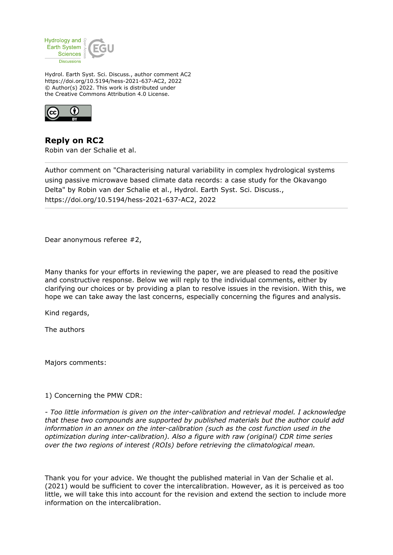

Hydrol. Earth Syst. Sci. Discuss., author comment AC2 https://doi.org/10.5194/hess-2021-637-AC2, 2022 © Author(s) 2022. This work is distributed under the Creative Commons Attribution 4.0 License.



**Reply on RC2** Robin van der Schalie et al.

Author comment on "Characterising natural variability in complex hydrological systems using passive microwave based climate data records: a case study for the Okavango Delta" by Robin van der Schalie et al., Hydrol. Earth Syst. Sci. Discuss., https://doi.org/10.5194/hess-2021-637-AC2, 2022

Dear anonymous referee #2,

Many thanks for your efforts in reviewing the paper, we are pleased to read the positive and constructive response. Below we will reply to the individual comments, either by clarifying our choices or by providing a plan to resolve issues in the revision. With this, we hope we can take away the last concerns, especially concerning the figures and analysis.

Kind regards,

The authors

Majors comments:

1) Concerning the PMW CDR:

*- Too little information is given on the inter-calibration and retrieval model. I acknowledge that these two compounds are supported by published materials but the author could add information in an annex on the inter-calibration (such as the cost function used in the optimization during inter-calibration). Also a figure with raw (original) CDR time series over the two regions of interest (ROIs) before retrieving the climatological mean.*

Thank you for your advice. We thought the published material in Van der Schalie et al. (2021) would be sufficient to cover the intercalibration. However, as it is perceived as too little, we will take this into account for the revision and extend the section to include more information on the intercalibration.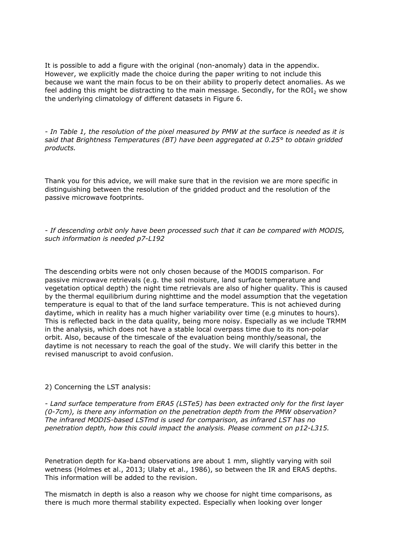It is possible to add a figure with the original (non-anomaly) data in the appendix. However, we explicitly made the choice during the paper writing to not include this because we want the main focus to be on their ability to properly detect anomalies. As we feel adding this might be distracting to the main message. Secondly, for the  $ROI<sub>2</sub>$  we show the underlying climatology of different datasets in Figure 6.

*- In Table 1, the resolution of the pixel measured by PMW at the surface is needed as it is said that Brightness Temperatures (BT) have been aggregated at 0.25° to obtain gridded products.*

Thank you for this advice, we will make sure that in the revision we are more specific in distinguishing between the resolution of the gridded product and the resolution of the passive microwave footprints.

*- If descending orbit only have been processed such that it can be compared with MODIS, such information is needed p7-L192*

The descending orbits were not only chosen because of the MODIS comparison. For passive microwave retrievals (e.g. the soil moisture, land surface temperature and vegetation optical depth) the night time retrievals are also of higher quality. This is caused by the thermal equilibrium during nighttime and the model assumption that the vegetation temperature is equal to that of the land surface temperature. This is not achieved during daytime, which in reality has a much higher variability over time (e.g minutes to hours). This is reflected back in the data quality, being more noisy. Especially as we include TRMM in the analysis, which does not have a stable local overpass time due to its non-polar orbit. Also, because of the timescale of the evaluation being monthly/seasonal, the daytime is not necessary to reach the goal of the study. We will clarify this better in the revised manuscript to avoid confusion.

## 2) Concerning the LST analysis:

*- Land surface temperature from ERA5 (LSTe5) has been extracted only for the first layer (0-7cm), is there any information on the penetration depth from the PMW observation? The infrared MODIS-based LSTmd is used for comparison, as infrared LST has no penetration depth, how this could impact the analysis. Please comment on p12-L315.*

Penetration depth for Ka-band observations are about 1 mm, slightly varying with soil wetness (Holmes et al., 2013; Ulaby et al., 1986), so between the IR and ERA5 depths. This information will be added to the revision.

The mismatch in depth is also a reason why we choose for night time comparisons, as there is much more thermal stability expected. Especially when looking over longer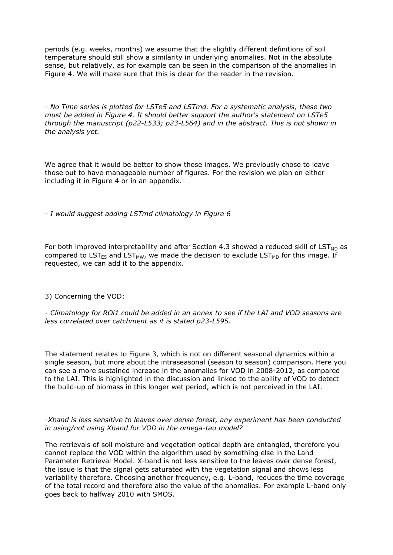periods (e.g. weeks, months) we assume that the slightly different definitions of soil temperature should still show a similarity in underlying anomalies. Not in the absolute sense, but relatively, as for example can be seen in the comparison of the anomalies in Figure 4. We will make sure that this is clear for the reader in the revision.

*- No Time series is plotted for LSTe5 and LSTmd. For a systematic analysis, these two must be added in Figure 4. It should better support the author's statement on LSTe5 through the manuscript (p22-L533; p23-L564) and in the abstract. This is not shown in the analysis yet.*

We agree that it would be better to show those images. We previously chose to leave those out to have manageable number of figures. For the revision we plan on either including it in Figure 4 or in an appendix.

*- I would suggest adding LSTmd climatology in Figure 6*

For both improved interpretability and after Section 4.3 showed a reduced skill of  $LST<sub>MD</sub>$  as compared to LST<sub>E5</sub> and LST<sub>MW</sub>, we made the decision to exclude LST<sub>MD</sub> for this image. If requested, we can add it to the appendix.

3) Concerning the VOD:

- *Climatology for ROi1 could be added in an annex to see if the LAI and VOD seasons are less correlated over catchment as it is stated p23-L595.*

The statement relates to Figure 3, which is not on different seasonal dynamics within a single season, but more about the intraseasonal (season to season) comparison. Here you can see a more sustained increase in the anomalies for VOD in 2008-2012, as compared to the LAI. This is highlighted in the discussion and linked to the ability of VOD to detect the build-up of biomass in this longer wet period, which is not perceived in the LAI.

*-Xband is less sensitive to leaves over dense forest, any experiment has been conducted in using/not using Xband for VOD in the omega-tau model?*

The retrievals of soil moisture and vegetation optical depth are entangled, therefore you cannot replace the VOD within the algorithm used by something else in the Land Parameter Retrieval Model. X-band is not less sensitive to the leaves over dense forest, the issue is that the signal gets saturated with the vegetation signal and shows less variability therefore. Choosing another frequency, e.g. L-band, reduces the time coverage of the total record and therefore also the value of the anomalies. For example L-band only goes back to halfway 2010 with SMOS.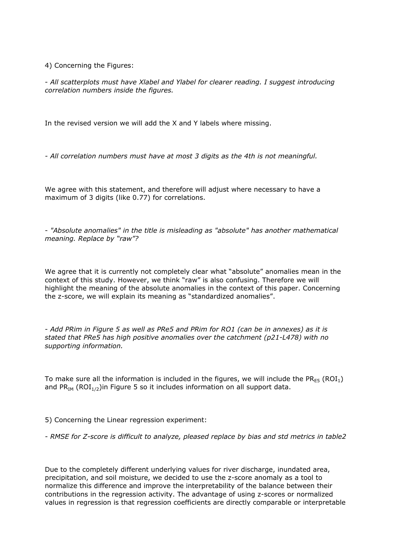4) Concerning the Figures:

- *All scatterplots must have Xlabel and Ylabel for clearer reading. I suggest introducing correlation numbers inside the figures.*

In the revised version we will add the X and Y labels where missing.

*- All correlation numbers must have at most 3 digits as the 4th is not meaningful.*

We agree with this statement, and therefore will adjust where necessary to have a maximum of 3 digits (like 0.77) for correlations.

- *"Absolute anomalies" in the title is misleading as "absolute" has another mathematical meaning. Replace by "raw"?*

We agree that it is currently not completely clear what "absolute" anomalies mean in the context of this study. However, we think "raw" is also confusing. Therefore we will highlight the meaning of the absolute anomalies in the context of this paper. Concerning the z-score, we will explain its meaning as "standardized anomalies".

- *Add PRim in Figure 5 as well as PRe5 and PRim for RO1 (can be in annexes) as it is stated that PRe5 has high positive anomalies over the catchment (p21-L478) with no supporting information.*

To make sure all the information is included in the figures, we will include the PR<sub>E5</sub> (ROI<sub>1</sub>) and  $PR_{IM}$  (ROI<sub>1/2</sub>) in Figure 5 so it includes information on all support data.

5) Concerning the Linear regression experiment:

*- RMSE for Z-score is difficult to analyze, pleased replace by bias and std metrics in table2*

Due to the completely different underlying values for river discharge, inundated area, precipitation, and soil moisture, we decided to use the z-score anomaly as a tool to normalize this difference and improve the interpretability of the balance between their contributions in the regression activity. The advantage of using z-scores or normalized values in regression is that regression coefficients are directly comparable or interpretable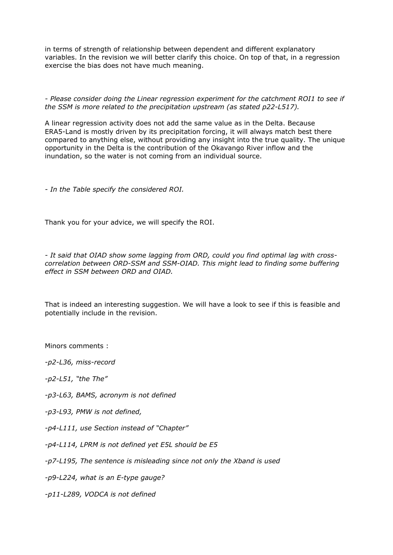in terms of strength of relationship between dependent and different explanatory variables. In the revision we will better clarify this choice. On top of that, in a regression exercise the bias does not have much meaning.

*- Please consider doing the Linear regression experiment for the catchment ROI1 to see if the SSM is more related to the precipitation upstream (as stated p22-L517).*

A linear regression activity does not add the same value as in the Delta. Because ERA5-Land is mostly driven by its precipitation forcing, it will always match best there compared to anything else, without providing any insight into the true quality. The unique opportunity in the Delta is the contribution of the Okavango River inflow and the inundation, so the water is not coming from an individual source.

*- In the Table specify the considered ROI.*

Thank you for your advice, we will specify the ROI.

*- It said that OIAD show some lagging from ORD, could you find optimal lag with crosscorrelation between ORD-SSM and SSM-OIAD. This might lead to finding some buffering effect in SSM between ORD and OIAD.*

That is indeed an interesting suggestion. We will have a look to see if this is feasible and potentially include in the revision.

Minors comments :

*-p2-L36, miss-record*

*-p2-L51, "the The"*

- *-p3-L63, BAMS, acronym is not defined*
- *-p3-L93, PMW is not defined,*
- *-p4-L111, use Section instead of "Chapter"*
- *-p4-L114, LPRM is not defined yet E5L should be E5*
- *-p7-L195, The sentence is misleading since not only the Xband is used*

*-p9-L224, what is an E-type gauge?*

*-p11-L289, VODCA is not defined*